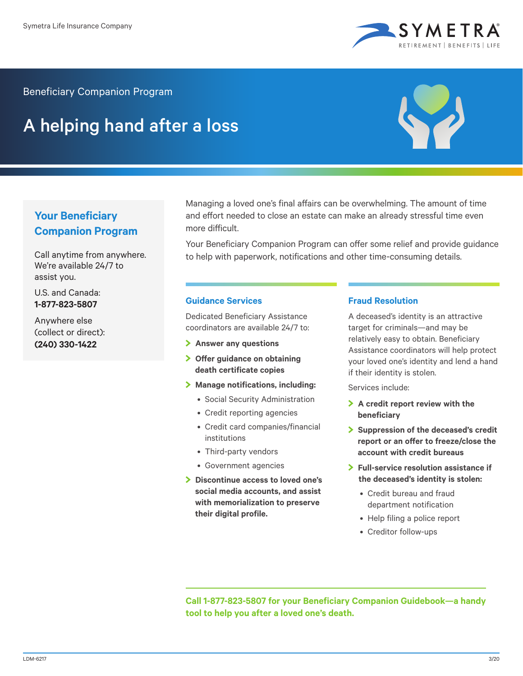

Beneficiary Companion Program

## A helping hand after a loss



## **Your Beneficiary Companion Program**

Call anytime from anywhere. We're available 24/7 to assist you.

U.S. and Canada: **1-877-823-5807**

Anywhere else (collect or direct): **(240) 330-1422**

Managing a loved one's final affairs can be overwhelming. The amount of time and effort needed to close an estate can make an already stressful time even more difficult.

Your Beneficiary Companion Program can offer some relief and provide guidance to help with paperwork, notifications and other time-consuming details.

## **Guidance Services**

Dedicated Beneficiary Assistance coordinators are available 24/7 to:

- **Answer any questions**
- **Offer guidance on obtaining death certificate copies**
- **Manage notifications, including:**
	- Social Security Administration
	- Credit reporting agencies
	- Credit card companies/financial institutions
	- Third-party vendors
	- Government agencies
- **Discontinue access to loved one's social media accounts, and assist with memorialization to preserve their digital profile.**

## **Fraud Resolution**

A deceased's identity is an attractive target for criminals—and may be relatively easy to obtain. Beneficiary Assistance coordinators will help protect your loved one's identity and lend a hand if their identity is stolen.

Services include:

- **A credit report review with the beneficiary**
- **Suppression of the deceased's credit report or an offer to freeze/close the account with credit bureaus**
- **Full-service resolution assistance if the deceased's identity is stolen:**
	- Credit bureau and fraud department notification
	- Help filing a police report
	- Creditor follow-ups

**Call 1-877-823-5807 for your Beneficiary Companion Guidebook—a handy tool to help you after a loved one's death.**